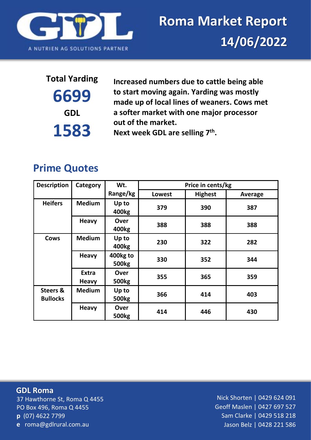

**6699 GDL 1583**

**Total Yarding Increased numbers due to cattle being able to start moving again. Yarding was mostly made up of local lines of weaners. Cows met a softer market with one major processor out of the market.** Next week GDL are selling 7<sup>th</sup>.

## **Prime Quotes**

| <b>Description</b>                     | Category                     | Wt.                         | Price in cents/kg |                |         |  |
|----------------------------------------|------------------------------|-----------------------------|-------------------|----------------|---------|--|
|                                        |                              | Range/kg                    | Lowest            | <b>Highest</b> | Average |  |
| <b>Heifers</b>                         | <b>Medium</b>                | Up to<br>400 <sub>kg</sub>  | 379               | 390            | 387     |  |
|                                        | <b>Heavy</b>                 | Over<br>400 <sub>kg</sub>   | 388               | 388            | 388     |  |
| <b>Cows</b>                            | <b>Medium</b>                | Up to<br>400 <sub>kg</sub>  | 230               | 322            | 282     |  |
|                                        | <b>Heavy</b>                 | 400kg to<br><b>500kg</b>    | 330               | 352            | 344     |  |
|                                        | <b>Extra</b><br><b>Heavy</b> | <b>Over</b><br><b>500kg</b> | 355               | 365            | 359     |  |
| <b>Steers &amp;</b><br><b>Bullocks</b> | <b>Medium</b>                | Up to<br><b>500kg</b>       | 366               | 414            | 403     |  |
|                                        | <b>Heavy</b>                 | Over<br><b>500kg</b>        | 414               | 446            | 430     |  |

37 Hawthorne St, Roma Q 4455 PO Box 496, Roma Q 4455 **p** (07) 4622 7799 **e** roma@gdlrural.com.au **GDL Roma**

Nick Shorten | 0429 624 091 Geoff Maslen | 0427 697 527 Sam Clarke | 0429 518 218 Jason Belz | 0428 221 586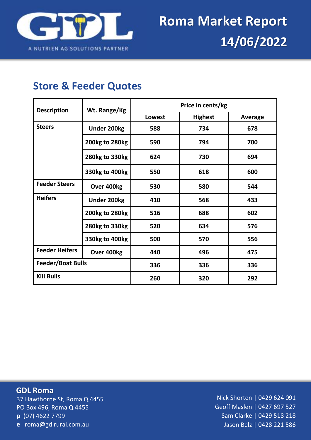

## **Store & Feeder Quotes**

| <b>Description</b>                  | Wt. Range/Kg       | Price in cents/kg |                |         |  |
|-------------------------------------|--------------------|-------------------|----------------|---------|--|
|                                     |                    | Lowest            | <b>Highest</b> | Average |  |
| <b>Steers</b><br><b>Under 200kg</b> |                    | 588               | 734            | 678     |  |
|                                     | 200kg to 280kg     | 590               | 794            | 700     |  |
|                                     | 280kg to 330kg     | 624               | 730            | 694     |  |
|                                     | 330kg to 400kg     | 550               | 618            | 600     |  |
| <b>Feeder Steers</b><br>Over 400kg  |                    | 530               | 580            | 544     |  |
| <b>Heifers</b>                      | <b>Under 200kg</b> | 410               | 568            | 433     |  |
|                                     | 200kg to 280kg     | 516               | 688            | 602     |  |
|                                     | 280kg to 330kg     | 520               | 634            | 576     |  |
|                                     | 330kg to 400kg     | 500               | 570            | 556     |  |
| <b>Feeder Heifers</b>               | Over 400kg         | 440               | 496            | 475     |  |
| <b>Feeder/Boat Bulls</b>            |                    | 336               | 336            | 336     |  |
| <b>Kill Bulls</b>                   |                    | 260               | 320            | 292     |  |

37 Hawthorne St, Roma Q 4455 PO Box 496, Roma Q 4455 **p** (07) 4622 7799 **e** roma@gdlrural.com.au **GDL Roma**

Nick Shorten | 0429 624 091 Geoff Maslen | 0427 697 527 Sam Clarke | 0429 518 218 Jason Belz | 0428 221 586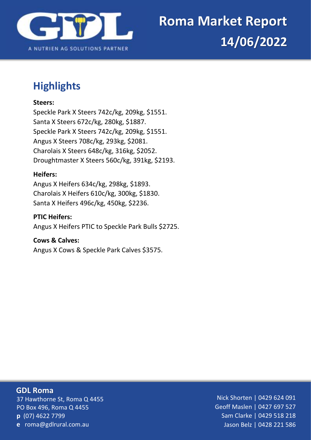

# **Highlights**

#### **Steers:**

Speckle Park X Steers 742c/kg, 209kg, \$1551. Santa X Steers 672c/kg, 280kg, \$1887. Speckle Park X Steers 742c/kg, 209kg, \$1551. Angus X Steers 708c/kg, 293kg, \$2081. Charolais X Steers 648c/kg, 316kg, \$2052. Droughtmaster X Steers 560c/kg, 391kg, \$2193.

#### **Heifers:**

Angus X Heifers 634c/kg, 298kg, \$1893. Charolais X Heifers 610c/kg, 300kg, \$1830. Santa X Heifers 496c/kg, 450kg, \$2236.

#### **PTIC Heifers:**

Angus X Heifers PTIC to Speckle Park Bulls \$2725.

#### **Cows & Calves:**

Angus X Cows & Speckle Park Calves \$3575.

#### 37 Hawthorne St, Roma Q 4455 PO Box 496, Roma Q 4455 **p** (07) 4622 7799 **e** roma@gdlrural.com.au **GDL Roma**

Nick Shorten | 0429 624 091 Geoff Maslen | 0427 697 527 Sam Clarke | 0429 518 218 Jason Belz | 0428 221 586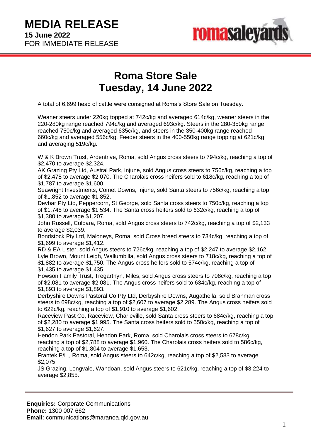

## **Roma Store Sale Tuesday, 14 June 2022**

A total of 6,699 head of cattle were consigned at Roma's Store Sale on Tuesday.

Weaner steers under 220kg topped at 742c/kg and averaged 614c/kg, weaner steers in the 220-280kg range reached 794c/kg and averaged 693c/kg. Steers in the 280-350kg range reached 750c/kg and averaged 635c/kg, and steers in the 350-400kg range reached 660c/kg and averaged 556c/kg. Feeder steers in the 400-550kg range topping at 621c/kg and averaging 519c/kg.

W & K Brown Trust, Ardentrive, Roma, sold Angus cross steers to 794c/kg, reaching a top of \$2,470 to average \$2,324.

AK Grazing Pty Ltd, Austral Park, Injune, sold Angus cross steers to 756c/kg, reaching a top of \$2,478 to average \$2,070. The Charolais cross heifers sold to 618c/kg, reaching a top of \$1,787 to average \$1,600.

Seawright Investments, Comet Downs, Injune, sold Santa steers to 756c/kg, reaching a top of \$1,852 to average \$1,852.

Devbar Pty Ltd, Peppercorn, St George, sold Santa cross steers to 750c/kg, reaching a top of \$1,748 to average \$1,534. The Santa cross heifers sold to 632c/kg, reaching a top of \$1,380 to average \$1,207.

John Russell, Culbara, Roma, sold Angus cross steers to 742c/kg, reaching a top of \$2,133 to average \$2,039.

Bondstock Pty Ltd, Maloneys, Roma, sold Cross breed steers to 734c/kg, reaching a top of \$1,699 to average \$1,412.

RD & EA Lister, sold Angus steers to 726c/kg, reaching a top of \$2,247 to average \$2,162. Lyle Brown, Mount Leigh, Wallumbilla, sold Angus cross steers to 718c/kg, reaching a top of \$1,882 to average \$1,750. The Angus cross heifers sold to 574c/kg, reaching a top of \$1,435 to average \$1,435.

Howson Family Trust, Tregarthyn, Miles, sold Angus cross steers to 708c/kg, reaching a top of \$2,081 to average \$2,081. The Angus cross heifers sold to 634c/kg, reaching a top of \$1,893 to average \$1,893.

Derbyshire Downs Pastoral Co Pty Ltd, Derbyshire Downs, Augathella, sold Brahman cross steers to 698c/kg, reaching a top of \$2,607 to average \$2,289. The Angus cross heifers sold to 622c/kg, reaching a top of \$1,910 to average \$1,602.

Raceview Past Co, Raceview, Charleville, sold Santa cross steers to 684c/kg, reaching a top of \$2,280 to average \$1,995. The Santa cross heifers sold to 550c/kg, reaching a top of \$1,627 to average \$1,627.

Hendon Park Pastoral, Hendon Park, Roma, sold Charolais cross steers to 678c/kg, reaching a top of \$2,788 to average \$1,960. The Charolais cross heifers sold to 586c/kg, reaching a top of \$1,804 to average \$1,653.

Frantek P/L,, Roma, sold Angus steers to 642c/kg, reaching a top of \$2,583 to average \$2,075.

JS Grazing, Longvale, Wandoan, sold Angus steers to 621c/kg, reaching a top of \$3,224 to average \$2,855.

**Enquiries:** Corporate Communications **Phone:** 1300 007 662 **Email**: communications@maranoa.qld.gov.au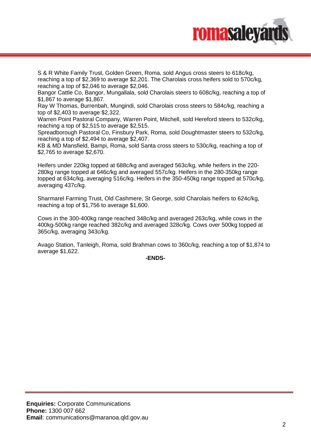

S & R White Family Trust, Golden Green, Roma, sold Angus cross steers to 618c/kg, reaching a top of \$2,369 to average \$2,201. The Charolais cross heifers sold to 570c/kg, reaching a top of \$2,046 to average \$2,046.

Bangor Cattle Co, Bangor, Mungallala, sold Charolais steers to 608c/kg, reaching a top of \$1,867 to average \$1,867.

Ray W Thomas, Burrenbah, Mungindi, sold Charolais cross steers to 584c/kg, reaching a top of \$2,403 to average \$2,322.

Warren Point Pastoral Company, Warren Point, Mitchell, sold Hereford steers to 532c/kg, reaching a top of \$2,515 to average \$2,515.

Spreadborough Pastoral Co, Finsbury Park, Roma, sold Doughtmaster steers to 532c/kg, reaching a top of \$2,494 to average \$2,407.

KB & MD Mansfield, Bampi, Roma, sold Santa cross steers to 530c/kg, reaching a top of \$2,765 to average \$2,670.

Heifers under 220kg topped at 688c/kg and averaged 563c/kg, while heifers in the 220- 280kg range topped at 646c/kg and averaged 557c/kg. Heifers in the 280-350kg range topped at 634c/kg, averaging 516c/kg. Heifers in the 350-450kg range topped at 570c/kg, averaging 437c/kg.

Sharmarel Farming Trust, Old Cashmere, St George, sold Charolais heifers to 624c/kg, reaching a top of \$1,756 to average \$1,600.

Cows in the 300-400kg range reached 348c/kg and averaged 263c/kg, while cows in the 400kg-500kg range reached 382c/kg and averaged 328c/kg. Cows over 500kg topped at 365c/kg, averaging 343c/kg.

Avago Station, Tanleigh, Roma, sold Brahman cows to 360c/kg, reaching a top of \$1,874 to average \$1,622.

**-ENDS-**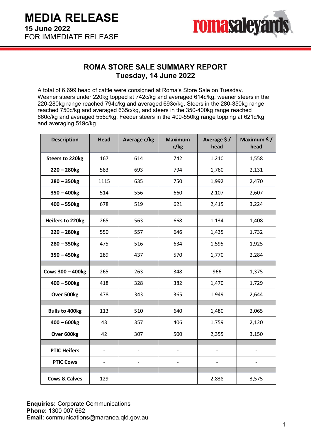

### **ROMA STORE SALE SUMMARY REPORT Tuesday, 14 June 2022**

A total of 6,699 head of cattle were consigned at Roma's Store Sale on Tuesday. Weaner steers under 220kg topped at 742c/kg and averaged 614c/kg, weaner steers in the 220-280kg range reached 794c/kg and averaged 693c/kg. Steers in the 280-350kg range reached 750c/kg and averaged 635c/kg, and steers in the 350-400kg range reached 660c/kg and averaged 556c/kg. Feeder steers in the 400-550kg range topping at 621c/kg and averaging 519c/kg.

| <b>Description</b>       | <b>Head</b> | Average c/kg | <b>Maximum</b><br>c/kg | Average \$/<br>head | Maximum \$/<br>head |
|--------------------------|-------------|--------------|------------------------|---------------------|---------------------|
| <b>Steers to 220kg</b>   | 167         | 614          | 742                    | 1,210               | 1,558               |
| $220 - 280$ kg           | 583         | 693          | 794                    | 1,760               | 2,131               |
| $280 - 350$ kg           | 1115        | 635          | 750                    | 1,992               | 2,470               |
| $350 - 400$ kg           | 514         | 556          | 660                    | 2,107               | 2,607               |
| $400 - 550$ kg           | 678         | 519          | 621                    | 2,415               | 3,224               |
|                          |             |              |                        |                     |                     |
| <b>Heifers to 220kg</b>  | 265         | 563          | 668                    | 1,134               | 1,408               |
| $220 - 280$ kg           | 550         | 557          | 646                    | 1,435               | 1,732               |
| $280 - 350$ kg           | 475         | 516          | 634                    | 1,595               | 1,925               |
| $350 - 450$ kg           | 289         | 437          | 570                    | 1,770               | 2,284               |
|                          |             |              |                        |                     |                     |
| Cows 300 - 400kg         | 265         | 263          | 348                    | 966                 | 1,375               |
| $400 - 500$ kg           | 418         | 328          | 382                    | 1,470               | 1,729               |
| Over 500kg               | 478         | 343          | 365                    | 1,949               | 2,644               |
|                          |             |              |                        |                     |                     |
| <b>Bulls to 400kg</b>    | 113         | 510          | 640                    | 1,480               | 2,065               |
| $400 - 600$ kg           | 43          | 357          | 406                    | 1,759               | 2,120               |
| Over 600kg               | 42          | 307          | 500                    | 2,355               | 3,150               |
|                          |             |              |                        |                     |                     |
| <b>PTIC Heifers</b>      |             |              |                        |                     |                     |
| <b>PTIC Cows</b>         |             |              |                        |                     |                     |
|                          |             |              |                        |                     |                     |
| <b>Cows &amp; Calves</b> | 129         |              |                        | 2,838               | 3,575               |

**Enquiries:** Corporate Communications **Phone:** 1300 007 662 **Email**: communications@maranoa.qld.gov.au